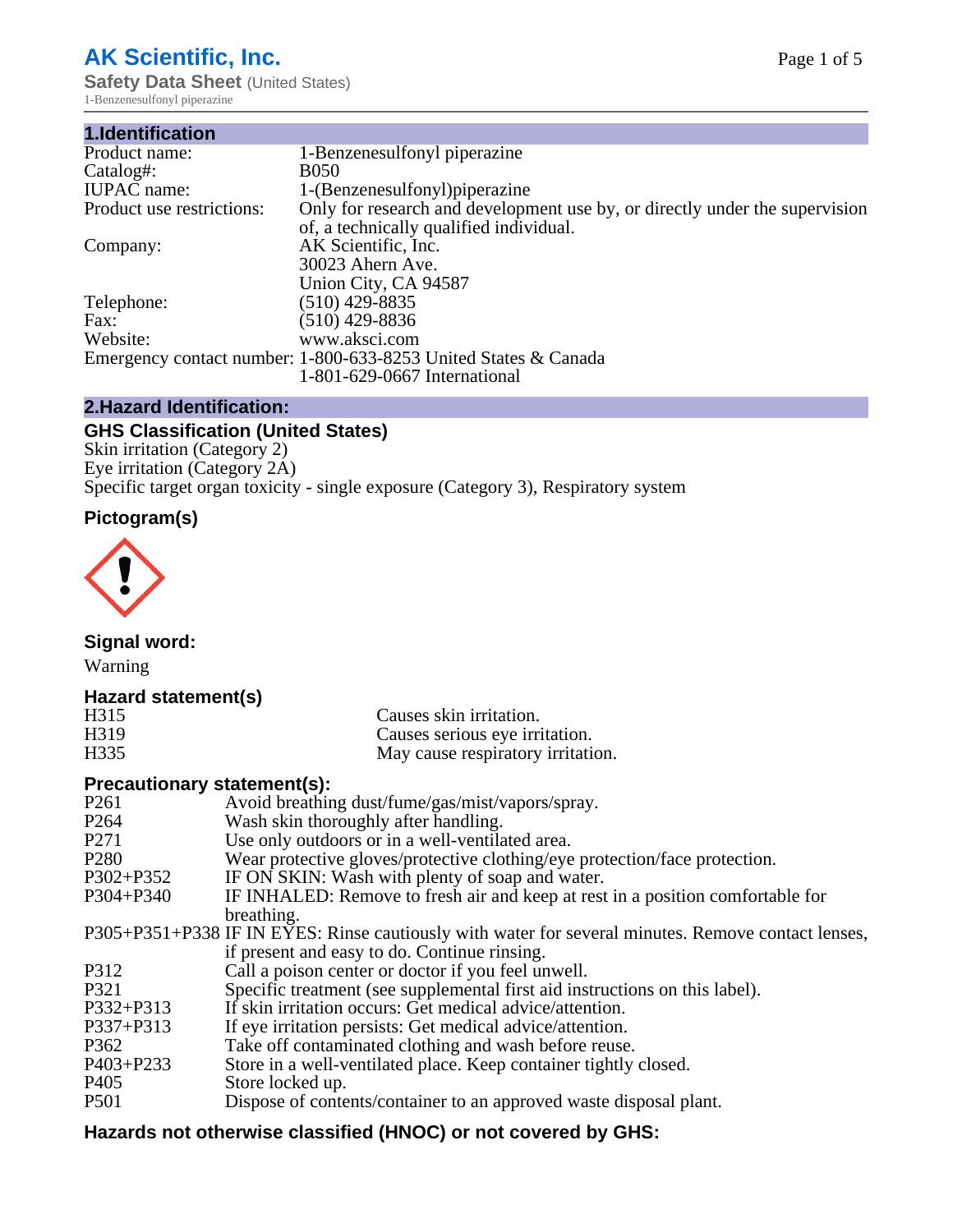# **AK Scientific, Inc.**

**Safety Data Sheet (United States)** 1-Benzenesulfonyl piperazine

| 1.Identification          |                                                                             |
|---------------------------|-----------------------------------------------------------------------------|
| Product name:             | 1-Benzenesulfonyl piperazine                                                |
| Catalog#:                 | <b>B050</b>                                                                 |
| <b>IUPAC</b> name:        | 1-(Benzenesulfonyl) piperazine                                              |
| Product use restrictions: | Only for research and development use by, or directly under the supervision |
|                           | of, a technically qualified individual.                                     |
| Company:                  | AK Scientific, Inc.                                                         |
|                           | 30023 Ahern Ave.                                                            |
|                           | Union City, CA 94587                                                        |
| Telephone:                | $(510)$ 429-8835                                                            |
| Fax:                      | $(510)$ 429-8836                                                            |
| Website:                  | www.aksci.com                                                               |
|                           | Emergency contact number: 1-800-633-8253 United States & Canada             |
|                           | 1-801-629-0667 International                                                |

# **2.Hazard Identification:**

# **GHS Classification (United States)**

Skin irritation (Category 2) Eye irritation (Category 2A) Specific target organ toxicity - single exposure (Category 3), Respiratory system

# **Pictogram(s)**



**Signal word:**

Warning

# **Hazard statement(s)**

| H <sub>315</sub>  | Causes skin irritation.           |
|-------------------|-----------------------------------|
| H <sub>3</sub> 19 | Causes serious eye irritation.    |
| H335              | May cause respiratory irritation. |

## **Precautionary statement(s):**

| P <sub>261</sub> | Avoid breathing dust/fume/gas/mist/vapors/spray.                                                   |
|------------------|----------------------------------------------------------------------------------------------------|
| P <sub>264</sub> | Wash skin thoroughly after handling.                                                               |
| P <sub>271</sub> | Use only outdoors or in a well-ventilated area.                                                    |
| P <sub>280</sub> | Wear protective gloves/protective clothing/eye protection/face protection.                         |
| P302+P352        | IF ON SKIN: Wash with plenty of soap and water.                                                    |
| $P304 + P340$    | IF INHALED: Remove to fresh air and keep at rest in a position comfortable for                     |
|                  | breathing.                                                                                         |
|                  | P305+P351+P338 IF IN EYES: Rinse cautiously with water for several minutes. Remove contact lenses, |
|                  | if present and easy to do. Continue rinsing.                                                       |
| P312             | Call a poison center or doctor if you feel unwell.                                                 |
| P321             | Specific treatment (see supplemental first aid instructions on this label).                        |
| P332+P313        | If skin irritation occurs: Get medical advice/attention.                                           |
| P337+P313        | If eye irritation persists: Get medical advice/attention.                                          |
| P362             | Take off contaminated clothing and wash before reuse.                                              |
| $P403 + P233$    | Store in a well-ventilated place. Keep container tightly closed.                                   |
| P <sub>405</sub> | Store locked up.                                                                                   |
| P <sub>501</sub> | Dispose of contents/container to an approved waste disposal plant.                                 |
|                  |                                                                                                    |

# **Hazards not otherwise classified (HNOC) or not covered by GHS:**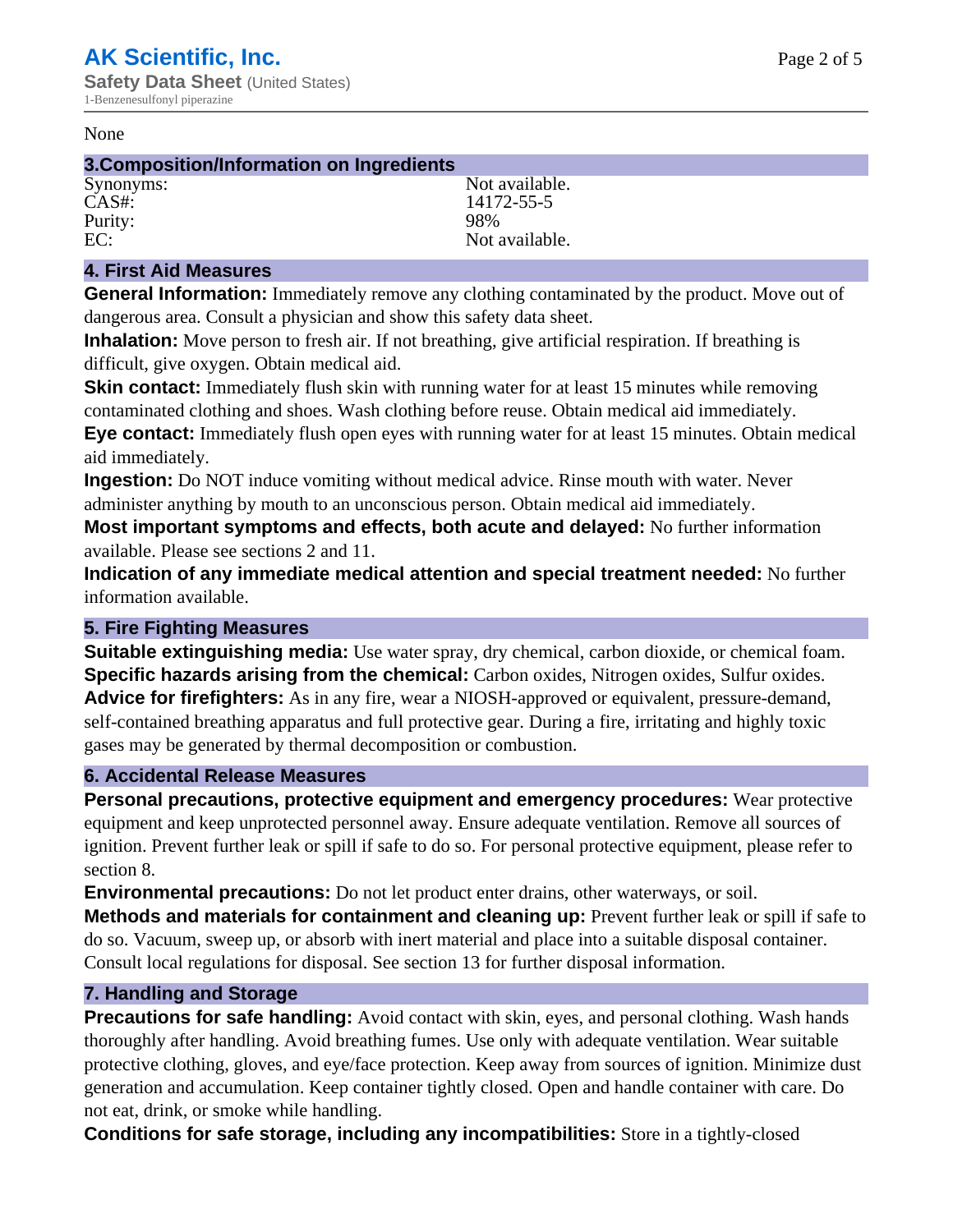#### None

#### **3.Composition/Information on Ingredients**

Purity: 98%<br>EC: Not a

Synonyms: Not available. CAS#: 14172-55-5 Not available.

## **4. First Aid Measures**

**General Information:** Immediately remove any clothing contaminated by the product. Move out of dangerous area. Consult a physician and show this safety data sheet.

**Inhalation:** Move person to fresh air. If not breathing, give artificial respiration. If breathing is difficult, give oxygen. Obtain medical aid.

**Skin contact:** Immediately flush skin with running water for at least 15 minutes while removing contaminated clothing and shoes. Wash clothing before reuse. Obtain medical aid immediately. **Eye contact:** Immediately flush open eyes with running water for at least 15 minutes. Obtain medical aid immediately.

**Ingestion:** Do NOT induce vomiting without medical advice. Rinse mouth with water. Never administer anything by mouth to an unconscious person. Obtain medical aid immediately.

**Most important symptoms and effects, both acute and delayed:** No further information available. Please see sections 2 and 11.

**Indication of any immediate medical attention and special treatment needed:** No further information available.

#### **5. Fire Fighting Measures**

**Suitable extinguishing media:** Use water spray, dry chemical, carbon dioxide, or chemical foam. **Specific hazards arising from the chemical:** Carbon oxides, Nitrogen oxides, Sulfur oxides. **Advice for firefighters:** As in any fire, wear a NIOSH-approved or equivalent, pressure-demand, self-contained breathing apparatus and full protective gear. During a fire, irritating and highly toxic gases may be generated by thermal decomposition or combustion.

#### **6. Accidental Release Measures**

**Personal precautions, protective equipment and emergency procedures:** Wear protective equipment and keep unprotected personnel away. Ensure adequate ventilation. Remove all sources of ignition. Prevent further leak or spill if safe to do so. For personal protective equipment, please refer to section 8.

**Environmental precautions:** Do not let product enter drains, other waterways, or soil.

**Methods and materials for containment and cleaning up:** Prevent further leak or spill if safe to do so. Vacuum, sweep up, or absorb with inert material and place into a suitable disposal container. Consult local regulations for disposal. See section 13 for further disposal information.

#### **7. Handling and Storage**

**Precautions for safe handling:** Avoid contact with skin, eyes, and personal clothing. Wash hands thoroughly after handling. Avoid breathing fumes. Use only with adequate ventilation. Wear suitable protective clothing, gloves, and eye/face protection. Keep away from sources of ignition. Minimize dust generation and accumulation. Keep container tightly closed. Open and handle container with care. Do not eat, drink, or smoke while handling.

**Conditions for safe storage, including any incompatibilities:** Store in a tightly-closed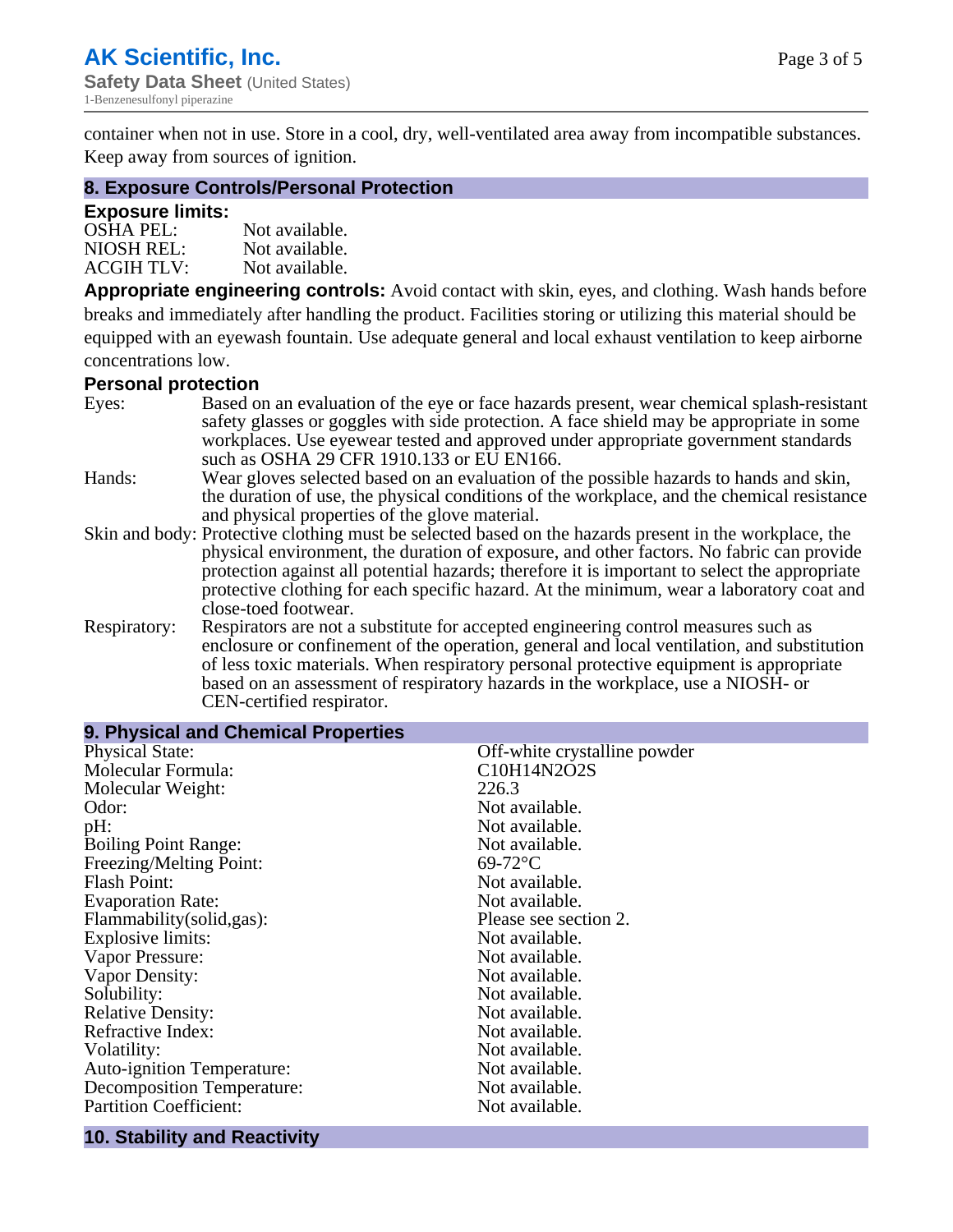container when not in use. Store in a cool, dry, well-ventilated area away from incompatible substances. Keep away from sources of ignition.

#### **8. Exposure Controls/Personal Protection**

#### **Exposure limits:**

| <b>OSHA PEL:</b>  | Not available. |
|-------------------|----------------|
| NIOSH REL:        | Not available. |
| <b>ACGIH TLV:</b> | Not available. |

**Appropriate engineering controls:** Avoid contact with skin, eyes, and clothing. Wash hands before breaks and immediately after handling the product. Facilities storing or utilizing this material should be equipped with an eyewash fountain. Use adequate general and local exhaust ventilation to keep airborne concentrations low.

#### **Personal protection**

| Eyes:        | Based on an evaluation of the eye or face hazards present, wear chemical splash-resistant<br>safety glasses or goggles with side protection. A face shield may be appropriate in some |
|--------------|---------------------------------------------------------------------------------------------------------------------------------------------------------------------------------------|
|              | workplaces. Use eyewear tested and approved under appropriate government standards<br>such as OSHA 29 CFR 1910.133 or EU EN166.                                                       |
| Hands:       | Wear gloves selected based on an evaluation of the possible hazards to hands and skin,                                                                                                |
|              | the duration of use, the physical conditions of the workplace, and the chemical resistance                                                                                            |
|              | and physical properties of the glove material.                                                                                                                                        |
|              | Skin and body: Protective clothing must be selected based on the hazards present in the workplace, the                                                                                |
|              | physical environment, the duration of exposure, and other factors. No fabric can provide                                                                                              |
|              | protection against all potential hazards; therefore it is important to select the appropriate                                                                                         |
|              | protective clothing for each specific hazard. At the minimum, wear a laboratory coat and                                                                                              |
|              | close-toed footwear.                                                                                                                                                                  |
| Respiratory: | Respirators are not a substitute for accepted engineering control measures such as<br>enclosure or confinement of the operation, general and local ventilation, and substitution      |
|              | of less toxic materials. When respiratory personal protective equipment is appropriate                                                                                                |
|              | based on an assessment of respiratory hazards in the workplace, use a NIOSH- or                                                                                                       |
|              | CEN-certified respirator.                                                                                                                                                             |

| 9. Physical and Chemical Properties |                              |
|-------------------------------------|------------------------------|
| <b>Physical State:</b>              | Off-white crystalline powder |
| Molecular Formula:                  | C10H14N2O2S                  |
| Molecular Weight:                   | 226.3                        |
| Odor:                               | Not available.               |
| pH:                                 | Not available.               |
| <b>Boiling Point Range:</b>         | Not available.               |
| Freezing/Melting Point:             | $69-72$ °C                   |
| <b>Flash Point:</b>                 | Not available.               |
| <b>Evaporation Rate:</b>            | Not available.               |
| Flammability(solid,gas):            | Please see section 2.        |
| Explosive limits:                   | Not available.               |
| Vapor Pressure:                     | Not available.               |
| Vapor Density:                      | Not available.               |
| Solubility:                         | Not available.               |
| <b>Relative Density:</b>            | Not available.               |
| Refractive Index:                   | Not available.               |
| Volatility:                         | Not available.               |
| Auto-ignition Temperature:          | Not available.               |
| <b>Decomposition Temperature:</b>   | Not available.               |
| <b>Partition Coefficient:</b>       | Not available.               |

#### **10. Stability and Reactivity**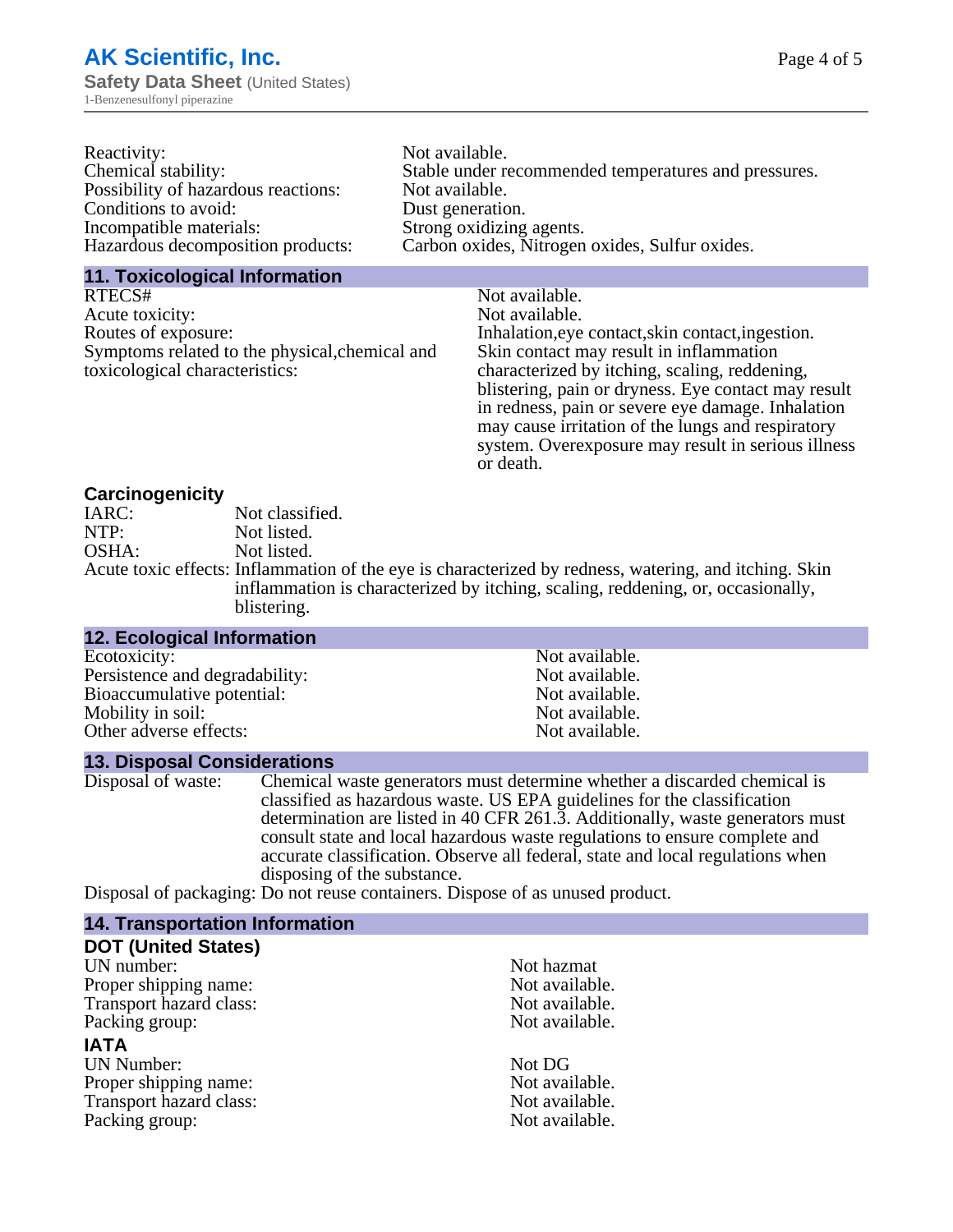| Reactivity:                         | Not available.                                       |
|-------------------------------------|------------------------------------------------------|
| Chemical stability:                 | Stable under recommended temperatures and pressures. |
| Possibility of hazardous reactions: | Not available.                                       |
| Conditions to avoid:                | Dust generation.                                     |
| Incompatible materials:             | Strong oxidizing agents.                             |
| Hazardous decomposition products:   | Carbon oxides, Nitrogen oxides, Sulfur oxides.       |
|                                     |                                                      |

#### **11. Toxicological Information**

| RTECS#                                         | Not available.                                      |
|------------------------------------------------|-----------------------------------------------------|
| Acute toxicity:                                | Not available.                                      |
| Routes of exposure:                            | Inhalation, eye contact, skin contact, ingestion.   |
| Symptoms related to the physical, chemical and | Skin contact may result in inflammation             |
| toxicological characteristics:                 | characterized by itching, scaling, reddening,       |
|                                                | blistering, pain or dryness. Eye contact may result |
|                                                | in redness, pain or severe eye damage. Inhalation   |
|                                                | may cause irritation of the lungs and respiratory   |
|                                                | system. Overexposure may result in serious illness  |

or death.

#### **Carcinogenicity**

| IARC: | Not classified.                                                                                       |
|-------|-------------------------------------------------------------------------------------------------------|
| NTP:  | Not listed.                                                                                           |
| OSHA: | Not listed.                                                                                           |
|       | Acute toxic effects: Inflammation of the eye is characterized by redness, watering, and itching. Skin |
|       | inflammation is characterized by itching, scaling, reddening, or, occasionally,                       |
|       | blistering.                                                                                           |

| Not available. |
|----------------|
| Not available. |
| Not available. |
| Not available. |
| Not available. |
|                |

## **13. Disposal Considerations**

Disposal of waste: Chemical waste generators must determine whether a discarded chemical is classified as hazardous waste. US EPA guidelines for the classification determination are listed in 40 CFR 261.3. Additionally, waste generators must consult state and local hazardous waste regulations to ensure complete and accurate classification. Observe all federal, state and local regulations when disposing of the substance.

Disposal of packaging: Do not reuse containers. Dispose of as unused product.

| <b>14. Transportation Information</b> |                |  |
|---------------------------------------|----------------|--|
| <b>DOT (United States)</b>            |                |  |
| UN number:                            | Not hazmat     |  |
| Proper shipping name:                 | Not available. |  |
| Transport hazard class:               | Not available. |  |
| Packing group:                        | Not available. |  |
| <b>IATA</b>                           |                |  |
| <b>UN Number:</b>                     | Not DG         |  |
| Proper shipping name:                 | Not available. |  |
| Transport hazard class:               | Not available. |  |
| Packing group:                        | Not available. |  |